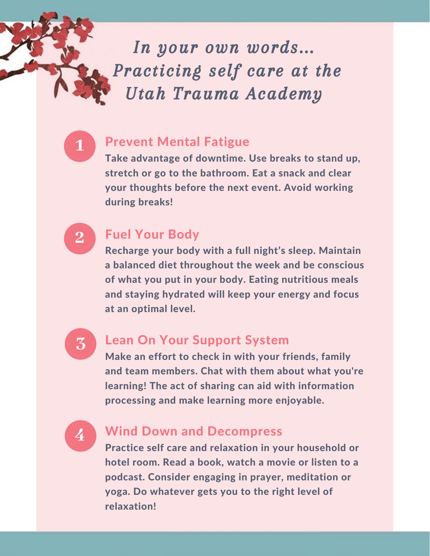In your own words... Practicing self care at the Utah Trauma Academy



#### Prevent Mental Fatigue

Take advantage of downtime. Use breaks to stand up, stretch or go to the bathroom. Eat a snack and clear your thoughts before the next event. Avoid working during breaks!

**2**

# Fuel Your Body

Recharge your body with a full night's sleep. Maintain a balanced diet throughout the week and be conscious of what you put in your body. Eating nutritious meals and staying hydrated will keep your energy and focus at an optimal level.



## Lean On Your Support System

Make an effort to check in with your friends, family and team members. Chat with them about what you're learning! The act of sharing can aid with information processing and make learning more enjoyable.

# **4** Wind Down and Decompress

Practice self care and relaxation in your household or hotel room. Read a book, watch a movie or listen to a podcast. Consider engaging in prayer, meditation or yoga. Do whatever gets you to the right level of relaxation!